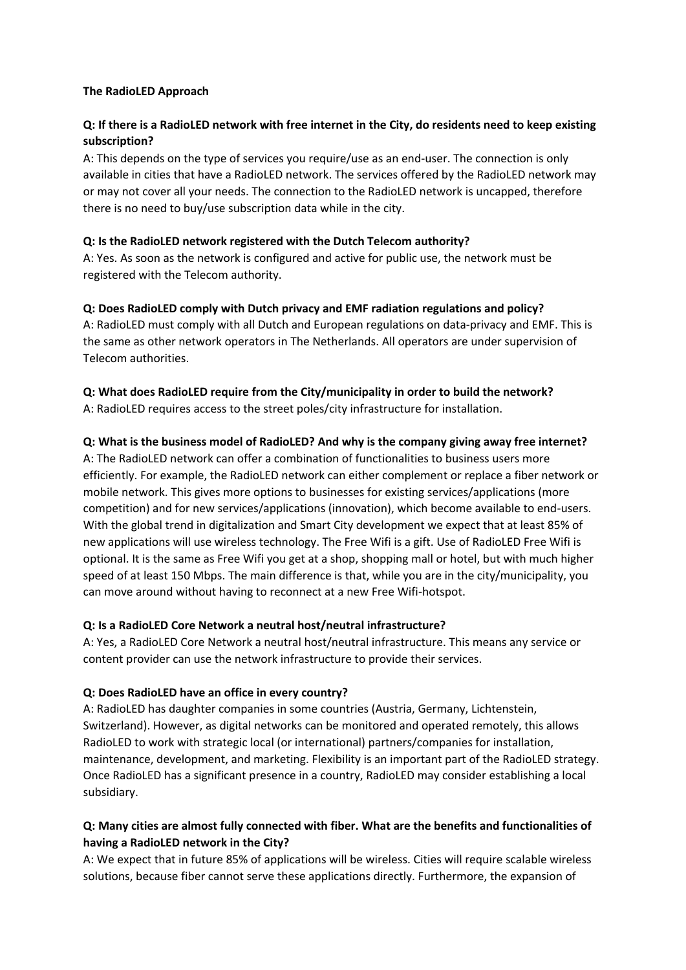#### **The RadioLED Approach**

## **Q: If there is a RadioLED network with free internet in the City, do residents need to keep existing subscription?**

A: This depends on the type of services you require/use as an end-user. The connection is only available in cities that have a RadioLED network. The services offered by the RadioLED network may or may not cover all your needs. The connection to the RadioLED network is uncapped, therefore there is no need to buy/use subscription data while in the city.

### **Q: Is the RadioLED network registered with the Dutch Telecom authority?**

A: Yes. As soon as the network is configured and active for public use, the network must be registered with the Telecom authority.

### **Q: Does RadioLED comply with Dutch privacy and EMF radiation regulations and policy?**

A: RadioLED must comply with all Dutch and European regulations on data-privacy and EMF. This is the same as other network operators in The Netherlands. All operators are under supervision of Telecom authorities.

# **Q: What does RadioLED require from the City/municipality in order to build the network?**

A: RadioLED requires access to the street poles/city infrastructure for installation.

### **Q: What is the business model of RadioLED? And why is the company giving away free internet?**

A: The RadioLED network can offer a combination of functionalities to business users more efficiently. For example, the RadioLED network can either complement or replace a fiber network or mobile network. This gives more options to businesses for existing services/applications (more competition) and for new services/applications (innovation), which become available to end-users. With the global trend in digitalization and Smart City development we expect that at least 85% of new applications will use wireless technology. The Free Wifi is a gift. Use of RadioLED Free Wifi is optional. It is the same as Free Wifi you get at a shop, shopping mall or hotel, but with much higher speed of at least 150 Mbps. The main difference is that, while you are in the city/municipality, you can move around without having to reconnect at a new Free Wifi-hotspot.

### **Q: Is a RadioLED Core Network a neutral host/neutral infrastructure?**

A: Yes, a RadioLED Core Network a neutral host/neutral infrastructure. This means any service or content provider can use the network infrastructure to provide their services.

### **Q: Does RadioLED have an office in every country?**

A: RadioLED has daughter companies in some countries (Austria, Germany, Lichtenstein, Switzerland). However, as digital networks can be monitored and operated remotely, this allows RadioLED to work with strategic local (or international) partners/companies for installation, maintenance, development, and marketing. Flexibility is an important part of the RadioLED strategy. Once RadioLED has a significant presence in a country, RadioLED may consider establishing a local subsidiary.

## **Q: Many cities are almost fully connected with fiber. What are the benefits and functionalities of having a RadioLED network in the City?**

A: We expect that in future 85% of applications will be wireless. Cities will require scalable wireless solutions, because fiber cannot serve these applications directly. Furthermore, the expansion of